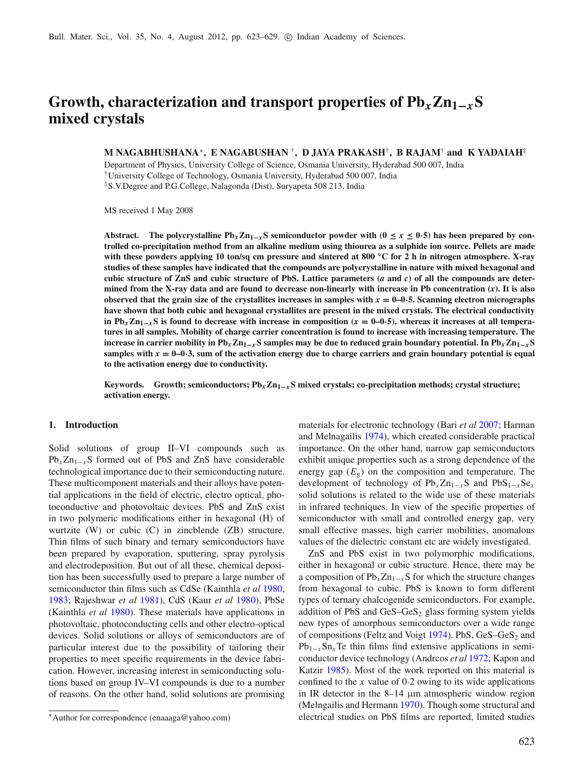# Growth, characterization and transport properties of  $Pb_x Zn_{1-x}S$ **mixed crystals**

# **M NAGABHUSHANA**<sup>∗</sup>**, E NAGABUSHAN** †**, D JAYA PRAKASH**†**, B RAJAM**† **and K YADAIAH**‡

Department of Physics, University College of Science, Osmania University, Hyderabad 500 007, India †University College of Technology, Osmania University, Hyderabad 500 007, India ‡S.V.Degree and P.G.College, Nalagonda (Dist), Suryapeta 508 213, India

MS received 1 May 2008

Abstract. The polycrystalline  $Pb_x Zn_{1-x}S$  semiconductor powder with ( $0 \le x \le 0.5$ ) has been prepared by con**trolled co-precipitation method from an alkaline medium using thiourea as a sulphide ion source. Pellets are made with these powders applying 10 ton/sq cm pressure and sintered at 800 ◦C for 2 h in nitrogen atmosphere. X-ray studies of these samples have indicated that the compounds are polycrystalline in nature with mixed hexagonal and cubic structure of ZnS and cubic structure of PbS. Lattice parameters (***a* **and** *c***) of all the compounds are determined from the X-ray data and are found to decrease non-linearly with increase in Pb concentration (***x***). It is also observed that the grain size of the crystallites increases in samples with**  $x = 0$ **–0** $\cdot$ **<b>5.** Scanning electron micrographs **have shown that both cubic and hexagonal crystallites are present in the mixed crystals. The electrical conductivity** in Pb<sub>*x*</sub>**Z**<sub>n<sub>1</sub><sub>−*x*</sub></sub>S is found to decrease with increase in composition ( $x = 0$ −0⋅5), whereas it increases at all tempera**tures in all samples. Mobility of charge carrier concentration is found to increase with increasing temperature. The increase in carrier mobility in Pb***x***Zn1<sup>−</sup>***x***S samples may be due to reduced grain boundary potential. In Pb***x***Zn1<sup>−</sup>***x***S** samples with  $x = 0-0.3$ , sum of the activation energy due to charge carriers and grain boundary potential is equal **to the activation energy due to conductivity.**

**Keywords. Growth; semiconductors; Pb***x***Zn1<sup>−</sup>***x***S mixed crystals; co-precipitation methods; crystal structure; activation energy.**

## **1. Introduction**

Solid solutions of group II–VI compounds such as Pb<sub>*x*</sub>Zn<sub>1−*x*</sub>S formed out of PbS and ZnS have considerable technological importance due to their semiconducting nature. These multicomponent materials and their alloys have potential applications in the field of electric, electro optical, photoconductive and photovoltaic devices. PbS and ZnS exist in two polymeric modifications either in hexagonal (H) of wurtzite (W) or cubic (C) in zincblende (ZB) structure. Thin films of such binary and ternary semiconductors have been prepared by evaporation, sputtering, spray pyrolysis and electrodeposition. But out of all these, chemical deposition has been successfully used to prepare a large number of semiconductor thin films such as CdSe (Kainthla *et a[l](#page-6-0)* [1980](#page-6-0), [1983;](#page-6-1) Rajeshwar *et a[l](#page-6-2)* [1981\)](#page-6-2), CdS (Kaur *et a[l](#page-6-3)* [1980\)](#page-6-3), PbSe (Kainthla *et a[l](#page-6-0)* [1980\)](#page-6-0). These materials have applications in photovoltaic, photoconducting cells and other electro-optical devices. Solid solutions or alloys of semiconductors are of particular interest due to the possibility of tailoring their properties to meet specific requirements in the device fabrication. However, increasing interest in semiconducting solutions based on group IV–VI compounds is due to a number of reasons. On the other hand, solid solutions are promising materials for electronic technology (Bari *et a[l](#page-6-4)* [2007](#page-6-4); Harman and Melnagaili[s](#page-6-5) [1974](#page-6-5)), which created considerable practical importance. On the other hand, narrow gap semiconductors exhibit unique properties such as a strong dependence of the energy gap  $(E_g)$  on the composition and temperature. The development of technology of  $Pb_xZn_{1-x}S$  and  $PbS_{1-x}Se_x$ solid solutions is related to the wide use of these materials in infrared techniques. In view of the specific properties of semiconductor with small and controlled energy gap, very small effective masses, high carrier mobilities, anomalous values of the dielectric constant etc are widely investigated.

ZnS and PbS exist in two polymorphic modifications, either in hexagonal or cubic structure. Hence, there may be a composition of Pb<sub>*x*</sub>Zn<sub>1−*x*</sub>S for which the structure changes from hexagonal to cubic. PbS is known to form different types of ternary chalcogenide semiconductors. For example, addition of PbS and  $GeS-GeS<sub>2</sub>$  glass forming system yields new types of amorphous semiconductors over a wide range of composi[t](#page-6-6)ions (Feltz and Voigt [1974\)](#page-6-6). PbS,  $GeS-GeS<sub>2</sub>$  and  $Pb_{1-x}Sn_xTe$  thin films find extensive applications in semiconductor device technology (Andrcos *et a[l](#page-6-7)* [1972](#page-6-7); Kapon and Katzi[r](#page-6-8) [1985\)](#page-6-8). Most of the work reported on this material is confined to the *x* value of 0·2 owing to its wide applications in IR detector in the 8–14 μm atmospheric window region (Melngailis and Herman[n](#page-6-9) [1970\)](#page-6-9). Though some structural and electrical studies on PbS films are reported, limited studies

<sup>∗</sup>Author for correspondence (enaaaga@yahoo.com)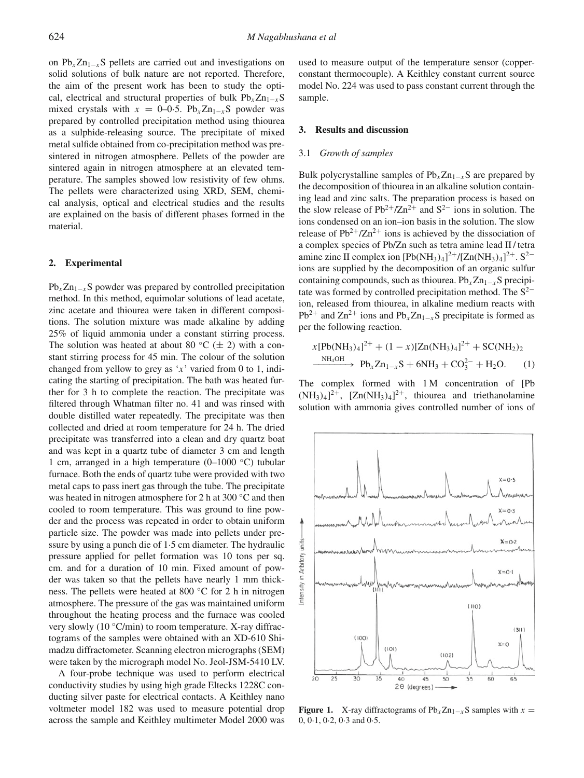on  $Pb_xZn_{1-x}S$  pellets are carried out and investigations on solid solutions of bulk nature are not reported. Therefore, the aim of the present work has been to study the optical, electrical and structural properties of bulk  $Pb<sub>x</sub>Zn<sub>1-x</sub>S$ mixed crystals with  $x = 0-0.5$ . Pb<sub>x</sub>Zn<sub>1−*x*</sub>S powder was prepared by controlled precipitation method using thiourea as a sulphide-releasing source. The precipitate of mixed metal sulfide obtained from co-precipitation method was presintered in nitrogen atmosphere. Pellets of the powder are sintered again in nitrogen atmosphere at an elevated temperature. The samples showed low resistivity of few ohms. The pellets were characterized using XRD, SEM, chemical analysis, optical and electrical studies and the results are explained on the basis of different phases formed in the material.

#### **2. Experimental**

 $Pb_xZn_{1-x}S$  powder was prepared by controlled precipitation method. In this method, equimolar solutions of lead acetate, zinc acetate and thiourea were taken in different compositions. The solution mixture was made alkaline by adding 25% of liquid ammonia under a constant stirring process. The solution was heated at about 80 °C ( $\pm$  2) with a constant stirring process for 45 min. The colour of the solution changed from yellow to grey as '*x*' varied from 0 to 1, indicating the starting of precipitation. The bath was heated further for 3 h to complete the reaction. The precipitate was filtered through Whatman filter no. 41 and was rinsed with double distilled water repeatedly. The precipitate was then collected and dried at room temperature for 24 h. The dried precipitate was transferred into a clean and dry quartz boat and was kept in a quartz tube of diameter 3 cm and length 1 cm, arranged in a high temperature (0–1000 ◦C) tubular furnace. Both the ends of quartz tube were provided with two metal caps to pass inert gas through the tube. The precipitate was heated in nitrogen atmosphere for 2 h at 300 ◦C and then cooled to room temperature. This was ground to fine powder and the process was repeated in order to obtain uniform particle size. The powder was made into pellets under pressure by using a punch die of 1·5 cm diameter. The hydraulic pressure applied for pellet formation was 10 tons per sq. cm. and for a duration of 10 min. Fixed amount of powder was taken so that the pellets have nearly 1 mm thickness. The pellets were heated at 800 ℃ for 2 h in nitrogen atmosphere. The pressure of the gas was maintained uniform throughout the heating process and the furnace was cooled very slowly (10 ◦C/min) to room temperature. X-ray diffractograms of the samples were obtained with an XD-610 Shimadzu diffractometer. Scanning electron micrographs (SEM) were taken by the micrograph model No. Jeol-JSM-5410 LV.

A four-probe technique was used to perform electrical conductivity studies by using high grade Eltecks 1228C conducting silver paste for electrical contacts. A Keithley nano voltmeter model 182 was used to measure potential drop across the sample and Keithley multimeter Model 2000 was used to measure output of the temperature sensor (copperconstant thermocouple). A Keithley constant current source model No. 224 was used to pass constant current through the sample.

## **3. Results and discussion**

## 3.1 *Growth of samples*

Bulk polycrystalline samples of  $Pb_x Zn_{1-x}S$  are prepared by the decomposition of thiourea in an alkaline solution containing lead and zinc salts. The preparation process is based on the slow release of Pb<sup>2+</sup>/Zn<sup>2+</sup> and S<sup>2−</sup> ions in solution. The ions condensed on an ion–ion basis in the solution. The slow release of  $Pb^{2+}/Zn^{2+}$  ions is achieved by the dissociation of a complex species of Pb/Zn such as tetra amine lead II / tetra amine zinc II complex ion  $[Pb(NH_3)_4]^2$ <sup>+</sup>/ $[Zn(NH_3)_4]^2$ <sup>+</sup>. S<sup>2–</sup> ions are supplied by the decomposition of an organic sulfur containing compounds, such as thiourea. Pb<sub>*x*</sub>Zn<sub>1−*x*</sub>S precipitate was formed by controlled precipitation method. The  $S<sup>2−</sup>$ ion, released from thiourea, in alkaline medium reacts with Pb<sup>2+</sup> and  $\text{Zn}^{2+}$  ions and Pb<sub>*x*</sub>Zn<sub>1−*x*</sub>S precipitate is formed as per the following reaction.

*x*[Pb(NH3)4] <sup>2</sup><sup>+</sup> + (1 − *x*)[Zn(NH3)4] <sup>2</sup><sup>+</sup> + SC(NH2)<sup>2</sup> NH4OH −−−−−−→ Pb*x*Zn1<sup>−</sup>*x*<sup>S</sup> <sup>+</sup> 6NH3 <sup>+</sup> CO<sup>2</sup><sup>−</sup> <sup>3</sup> + H2O. (1)

The complex formed with 1 M concentration of [Pb  $(NH_3)_4$ <sup>2+</sup>,  $[Zn(NH_3)_4]$ <sup>2+</sup>, thiourea and triethanolamine solution with ammonia gives controlled number of ions of

<span id="page-1-0"></span>

**Figure 1.** X-ray diffractograms of  $Pb_xZn_{1-x}S$  samples with  $x =$ 0, 0·1, 0·2, 0·3 and 0·5.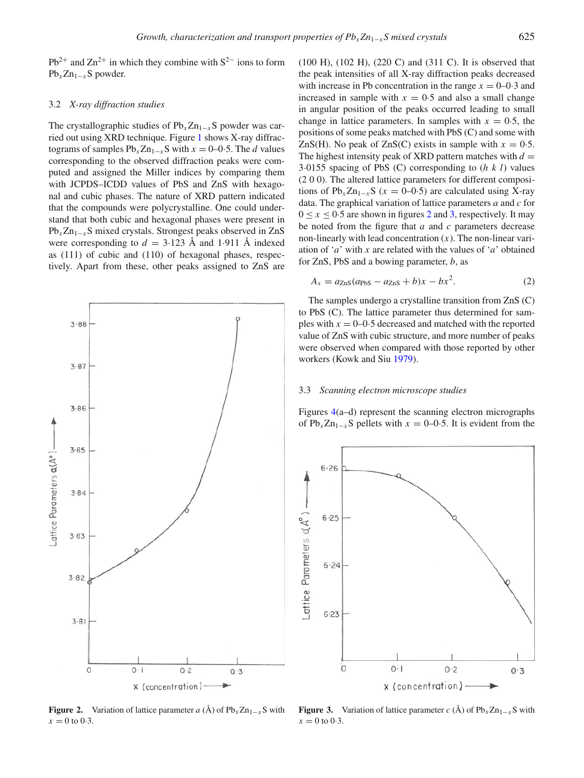Pb<sup>2+</sup> and Zn<sup>2+</sup> in which they combine with  $S^{2-}$  ions to form Pb*x*Zn1<sup>−</sup>*x*S powder.

#### 3.2 *X-ray diffraction studies*

The crystallographic studies of Pb<sub>*x*</sub>Zn<sub>1−*x*</sub>S powder was carried out using XRD technique. Figure [1](#page-1-0) shows X-ray diffractograms of samples  $Pb<sub>x</sub>Zn<sub>1−x</sub>S$  with  $x = 0-0.5$ . The *d* values corresponding to the observed diffraction peaks were computed and assigned the Miller indices by comparing them with JCPDS–ICDD values of PbS and ZnS with hexagonal and cubic phases. The nature of XRD pattern indicated that the compounds were polycrystalline. One could understand that both cubic and hexagonal phases were present in Pb<sub>*x*</sub>Zn<sub>1−*x*</sub>S mixed crystals. Strongest peaks observed in ZnS were corresponding to  $d = 3.123$  Å and 1.911 Å indexed as (111) of cubic and (110) of hexagonal phases, respectively. Apart from these, other peaks assigned to ZnS are

<span id="page-2-0"></span>

(100 H), (102 H), (220 C) and (311 C). It is observed that the peak intensities of all X-ray diffraction peaks decreased with increase in Pb concentration in the range  $x = 0-0.3$  and increased in sample with  $x = 0.5$  and also a small change in angular position of the peaks occurred leading to small change in lattice parameters. In samples with  $x = 0.5$ , the positions of some peaks matched with PbS (C) and some with ZnS(H). No peak of ZnS(C) exists in sample with  $x = 0.5$ . The highest intensity peak of XRD pattern matches with  $d =$ 3·0155 spacing of PbS (C) corresponding to (*hkl*) values (2 0 0). The altered lattice parameters for different compositions of  $Pb_x Zn_{1-x}S$  ( $x = 0-0.5$ ) are calculated using X-ray data. The graphical variation of lattice parameters *a* and *c* for  $0 \le x \le 0.5$  are shown in figures [2](#page-2-0) and [3,](#page-2-1) respectively. It may be noted from the figure that *a* and *c* parameters decrease non-linearly with lead concentration (*x*). The non-linear variation of '*a*' with *x* are related with the values of '*a*' obtained

$$
A_x = a_{\text{ZnS}}(a_{\text{PbS}} - a_{\text{ZnS}} + b)x - bx^2.
$$
 (2)

The samples undergo a crystalline transition from ZnS (C) to PbS (C). The lattice parameter thus determined for samples with  $x = 0$ –0·5 decreased and matched with the reported value of ZnS with cubic structure, and more number of peaks were observed when compared with those reported by other workers (Kowk and Si[u](#page-6-10) [1979](#page-6-10)).

# 3.3 *Scanning electron microscope studies*

for ZnS, PbS and a bowing parameter, *b*, as

Figures [4\(](#page-3-0)a–d) represent the scanning electron micrographs of  $Pb_x Zn_{1-x}S$  pellets with  $x = 0$ –0.5. It is evident from the

<span id="page-2-1"></span>

**Figure 2.** Variation of lattice parameter *a* (Å) of  $Pb_xZn_{1-x}S$  with  $x = 0$  to 0.3.

**Figure 3.** Variation of lattice parameter *c* (Å) of  $Pb_xZn_{1-x}S$  with  $x = 0$  to 0.3.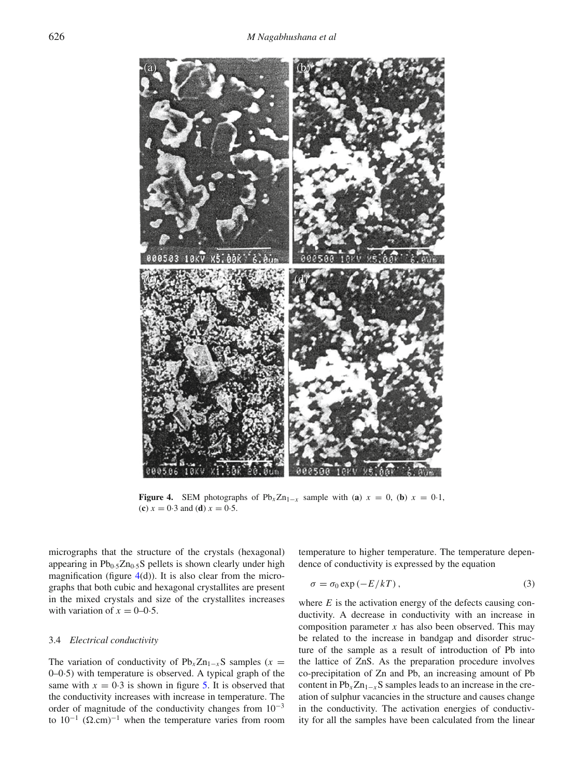<span id="page-3-0"></span>

**Figure 4.** SEM photographs of  $Pb_x Zn_{1-x}$  sample with (**a**)  $x = 0$ , (**b**)  $x = 0.1$ , (c)  $x = 0.3$  and (d)  $x = 0.5$ .

micrographs that the structure of the crystals (hexagonal) appearing in  $Pb_0.5Zn_0.5S$  pellets is shown clearly under high magnification (figure  $4(d)$  $4(d)$ ). It is also clear from the micrographs that both cubic and hexagonal crystallites are present in the mixed crystals and size of the crystallites increases with variation of  $x = 0-0.5$ .

#### 3.4 *Electrical conductivity*

The variation of conductivity of  $Pb_xZn_{1-x}S$  samples (*x* = 0–0·5) with temperature is observed. A typical graph of the same with  $x = 0.3$  is shown in figure [5.](#page-4-0) It is observed that the conductivity increases with increase in temperature. The order of magnitude of the conductivity changes from  $10^{-3}$ to  $10^{-1}$  ( $\Omega$ .cm)<sup>-1</sup> when the temperature varies from room

temperature to higher temperature. The temperature dependence of conductivity is expressed by the equation

$$
\sigma = \sigma_0 \exp(-E/kT), \qquad (3)
$$

where *E* is the activation energy of the defects causing conductivity. A decrease in conductivity with an increase in composition parameter *x* has also been observed. This may be related to the increase in bandgap and disorder structure of the sample as a result of introduction of Pb into the lattice of ZnS. As the preparation procedure involves co-precipitation of Zn and Pb, an increasing amount of Pb content in  $Pb_x Zn_{1-x} S$  samples leads to an increase in the creation of sulphur vacancies in the structure and causes change in the conductivity. The activation energies of conductivity for all the samples have been calculated from the linear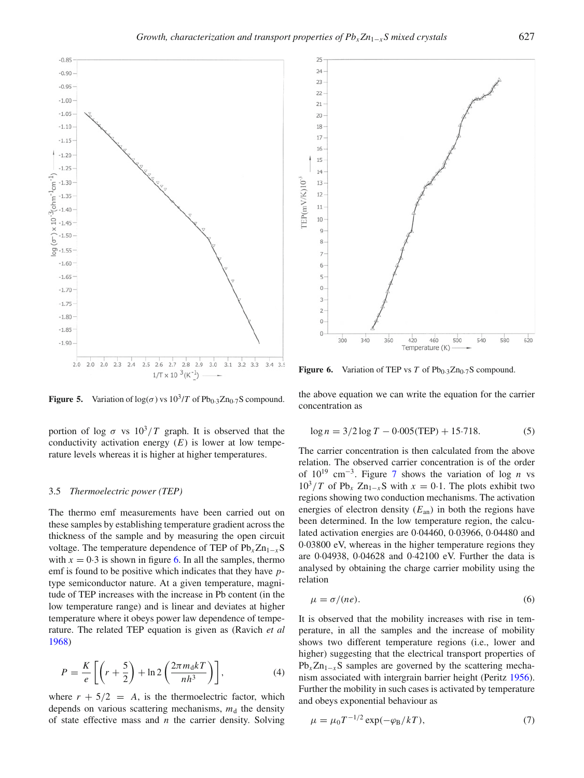<span id="page-4-0"></span>

**Figure 5.** Variation of  $log(\sigma)$  vs  $10^3/T$  of  $Pb_{0.3}Zn_{0.7}S$  compound.

portion of log  $\sigma$  vs  $10^3/T$  graph. It is observed that the conductivity activation energy  $(E)$  is lower at low temperature levels whereas it is higher at higher temperatures.

#### 3.5 *Thermoelectric power (TEP)*

The thermo emf measurements have been carried out on these samples by establishing temperature gradient across the thickness of the sample and by measuring the open circuit voltage. The temperature dependence of TEP of Pb*x*Zn1<sup>−</sup>*x*S with  $x = 0.3$  is shown in figure [6.](#page-4-1) In all the samples, thermo emf is found to be positive which indicates that they have *p*type semiconductor nature. At a given temperature, magnitude of TEP increases with the increase in Pb content (in the low temperature range) and is linear and deviates at higher temperature where it obeys power law dependence of temperature. The related TEP equation is given as (Ravich *et a[l](#page-6-11)* [1968\)](#page-6-11)

$$
P = \frac{K}{e} \left[ \left( r + \frac{5}{2} \right) + \ln 2 \left( \frac{2\pi m_0 k T}{nh^3} \right) \right],\tag{4}
$$

where  $r + 5/2 = A$ , is the thermoelectric factor, which depends on various scattering mechanisms,  $m<sub>d</sub>$  the density of state effective mass and *n* the carrier density. Solving

<span id="page-4-1"></span>

**Figure 6.** Variation of TEP vs  $T$  of Pb<sub>0</sub>.3Zn<sub>0</sub>.7S compound.

the above equation we can write the equation for the carrier concentration as

$$
\log n = 3/2 \log T - 0.005 \text{(TEP)} + 15.718. \tag{5}
$$

The carrier concentration is then calculated from the above relation. The observed carrier concentration is of the order of 1019 cm<sup>−</sup>3. Figure [7](#page-5-0) shows the variation of log *n* vs  $10^3/T$  of Pb<sub>x</sub> Zn<sub>1−*x*</sub>S with  $x = 0.1$ . The plots exhibit two regions showing two conduction mechanisms. The activation energies of electron density  $(E_{an})$  in both the regions have been determined. In the low temperature region, the calculated activation energies are 0·04460, 0·03966, 0·04480 and 0·03800 eV, whereas in the higher temperature regions they are 0·04938, 0·04628 and 0·42100 eV. Further the data is analysed by obtaining the charge carrier mobility using the relation

$$
\mu = \sigma / (ne). \tag{6}
$$

It is observed that the mobility increases with rise in temperature, in all the samples and the increase of mobility shows two different temperature regions (i.e., lower and higher) suggesting that the electrical transport properties of  $Pb_xZn_{1-x}S$  samples are governed by the scattering mechanism associated with intergrain barrier height (Perit[z](#page-6-12) [1956\)](#page-6-12). Further the mobility in such cases is activated by temperature and obeys exponential behaviour as

$$
\mu = \mu_0 T^{-1/2} \exp(-\varphi_B/kT), \tag{7}
$$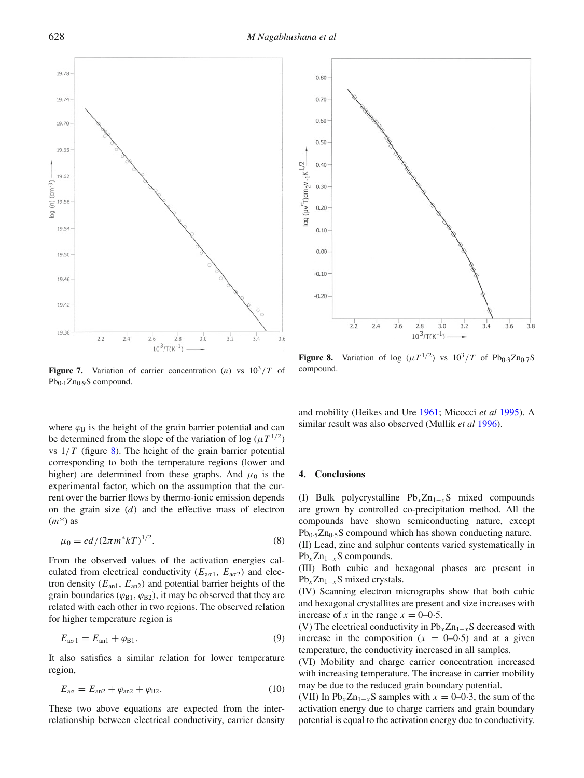628 *M Nagabhushana et al*

<span id="page-5-1"></span> $0.80$ 

 $0.70$ 

 $0.60$ 

<span id="page-5-0"></span>

**Figure 7.** Variation of carrier concentration (*n*) vs  $10^3/T$  of Pb<sub>0</sub>.<sub>1</sub>Zn<sub>0</sub>.9</sub>S compound.

where  $\varphi_B$  is the height of the grain barrier potential and can be determined from the slope of the variation of log  $(\mu T^{1/2})$ vs  $1/T$  (figure [8\)](#page-5-1). The height of the grain barrier potential corresponding to both the temperature regions (lower and higher) are determined from these graphs. And  $\mu_0$  is the experimental factor, which on the assumption that the current over the barrier flows by thermo-ionic emission depends on the grain size (*d*) and the effective mass of electron (*m*\*) as

$$
\mu_0 = ed/(2\pi m^* kT)^{1/2}.
$$
\n(8)

From the observed values of the activation energies calculated from electrical conductivity ( $E_{\alpha\sigma1}$ ,  $E_{\alpha\sigma2}$ ) and electron density  $(E_{an1}, E_{an2})$  and potential barrier heights of the grain boundaries ( $\varphi_{B1}, \varphi_{B2}$ ), it may be observed that they are related with each other in two regions. The observed relation for higher temperature region is

$$
E_{\text{a}\sigma 1} = E_{\text{an}1} + \varphi_{\text{B}1}.\tag{9}
$$

It also satisfies a similar relation for lower temperature region,

$$
E_{\text{a}\sigma} = E_{\text{an}2} + \varphi_{\text{an}2} + \varphi_{\text{B}2}.\tag{10}
$$

These two above equations are expected from the interrelationship between electrical conductivity, carrier density



**Figure 8.** Variation of log  $(\mu T^{1/2})$  vs  $10^3/T$  of Pb<sub>0.3</sub>Zn<sub>0</sub>.7S compound.

and mobility (Heikes and Ur[e](#page-6-13) [1961;](#page-6-13) Micocci *et a[l](#page-6-14)* [1995\)](#page-6-14). A similar result was also observed (Mullik *et a[l](#page-6-15)* [1996](#page-6-15)).

#### **4. Conclusions**

(I) Bulk polycrystalline  $Pb_x Zn_{1-x}S$  mixed compounds are grown by controlled co-precipitation method. All the compounds have shown semiconducting nature, except  $Pb<sub>0.5</sub>Zn<sub>0.5</sub>S$  compound which has shown conducting nature. (II) Lead, zinc and sulphur contents varied systematically in Pb<sub>*x*</sub>Zn<sub>1−*x*</sub>S compounds.

(III) Both cubic and hexagonal phases are present in Pb<sub>*x*</sub>Zn<sub>1−*x*</sub>S mixed crystals.

(IV) Scanning electron micrographs show that both cubic and hexagonal crystallites are present and size increases with increase of *x* in the range  $x = 0-0.5$ .

(V) The electrical conductivity in  $Pb<sub>x</sub>Zn<sub>1-x</sub>S$  decreased with increase in the composition  $(x = 0-0.5)$  and at a given temperature, the conductivity increased in all samples.

(VI) Mobility and charge carrier concentration increased with increasing temperature. The increase in carrier mobility may be due to the reduced grain boundary potential.

(VII) In  $Pb_xZn_{1-x}S$  samples with  $x = 0-0.3$ , the sum of the activation energy due to charge carriers and grain boundary potential is equal to the activation energy due to conductivity.